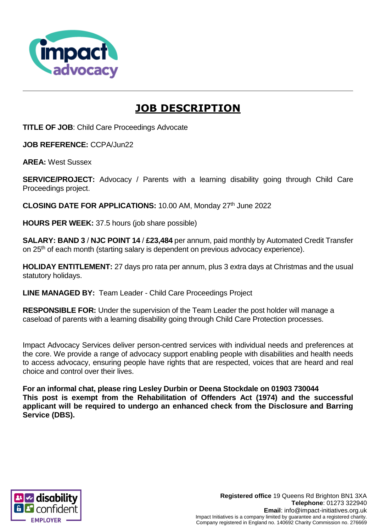

# **JOB DESCRIPTION**

**TITLE OF JOB**: Child Care Proceedings Advocate

**JOB REFERENCE:** CCPA/Jun22

**AREA:** West Sussex

**SERVICE/PROJECT:** Advocacy / Parents with a learning disability going through Child Care Proceedings project.

**CLOSING DATE FOR APPLICATIONS: 10.00 AM, Monday 27th June 2022** 

**HOURS PER WEEK:** 37.5 hours (job share possible)

**SALARY: BAND 3** / **NJC POINT 14** / **£23,484** per annum, paid monthly by Automated Credit Transfer on 25<sup>th</sup> of each month (starting salary is dependent on previous advocacy experience).

**HOLIDAY ENTITLEMENT:** 27 days pro rata per annum, plus 3 extra days at Christmas and the usual statutory holidays.

**LINE MANAGED BY:** Team Leader - Child Care Proceedings Project

**RESPONSIBLE FOR:** Under the supervision of the Team Leader the post holder will manage a caseload of parents with a learning disability going through Child Care Protection processes.

Impact Advocacy Services deliver person-centred services with individual needs and preferences at the core. We provide a range of advocacy support enabling people with disabilities and health needs to access advocacy, ensuring people have rights that are respected, voices that are heard and real choice and control over their lives.

**For an informal chat, please ring Lesley Durbin or Deena Stockdale on 01903 730044 This post is exempt from the Rehabilitation of Offenders Act (1974) and the successful applicant will be required to undergo an enhanced check from the Disclosure and Barring Service (DBS).**

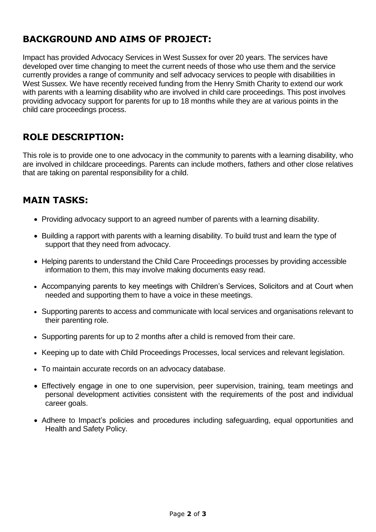## **BACKGROUND AND AIMS OF PROJECT:**

Impact has provided Advocacy Services in West Sussex for over 20 years. The services have developed over time changing to meet the current needs of those who use them and the service currently provides a range of community and self advocacy services to people with disabilities in West Sussex. We have recently received funding from the Henry Smith Charity to extend our work with parents with a learning disability who are involved in child care proceedings. This post involves providing advocacy support for parents for up to 18 months while they are at various points in the child care proceedings process.

## **ROLE DESCRIPTION:**

This role is to provide one to one advocacy in the community to parents with a learning disability, who are involved in childcare proceedings. Parents can include mothers, fathers and other close relatives that are taking on parental responsibility for a child.

## **MAIN TASKS:**

- Providing advocacy support to an agreed number of parents with a learning disability.
- Building a rapport with parents with a learning disability. To build trust and learn the type of support that they need from advocacy.
- Helping parents to understand the Child Care Proceedings processes by providing accessible information to them, this may involve making documents easy read.
- Accompanying parents to key meetings with Children's Services, Solicitors and at Court when needed and supporting them to have a voice in these meetings.
- Supporting parents to access and communicate with local services and organisations relevant to their parenting role.
- Supporting parents for up to 2 months after a child is removed from their care.
- Keeping up to date with Child Proceedings Processes, local services and relevant legislation.
- To maintain accurate records on an advocacy database.
- Effectively engage in one to one supervision, peer supervision, training, team meetings and personal development activities consistent with the requirements of the post and individual career goals.
- Adhere to Impact's policies and procedures including safeguarding, equal opportunities and Health and Safety Policy.